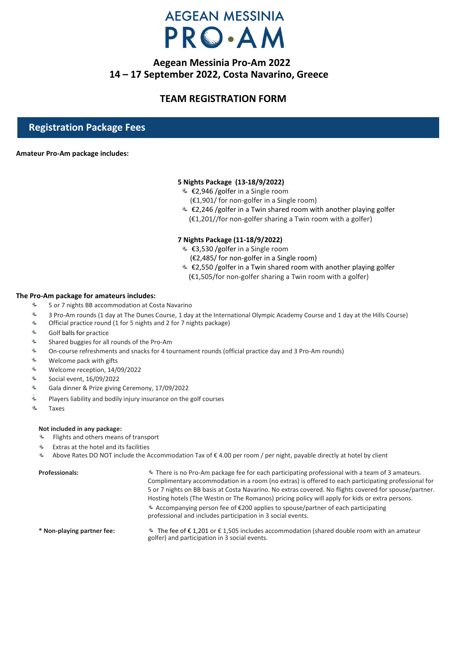### **Aegean Messinia Pro-Am 2022 14 – 17 September 2022, Costa Navarino, Greece**

### **TEAM REGISTRATION FORM**

### **Registration Package Fees**

#### **Amateur Pro-Am package includes:**

#### **5 Nights Package (13-18/9/2022)**

- €2,946 /golfer in a Single room
	- (€1,901/ for non-golfer in a Single room)
- €2,246 /golfer in a Twin shared room with another playing golfer (€1,201//for non-golfer sharing a Twin room with a golfer)

#### **7 Nights Package (11-18/9/2022)**

- €3,530 /golfer in a Single room
	- (€2,485/ for non-golfer in a Single room)
- €2,550 /golfer in a Twin shared room with another playing golfer
	- (€1,505/for non-golfer sharing a Twin room with a golfer)

#### **The Pro-Am package for amateurs includes:**

- $Q_{\mu\nu}$ 5 or 7 nights BB accommodation at Costa Navarino
- q, 3 Pro-Am rounds (1 day at The Dunes Course, 1 day at the International Olympic Academy Course and 1 day at the Hills Course)
- $Q_{\rm m}$ Official practice round (1 for 5 nights and 2 for 7 nights package)
- $\Phi_{\rm m}$ Golf balls for practice
- $\ddot{\textbf{c}}$ Shared buggies for all rounds of the Pro-Am
- $\ddot{\theta}$ On-course refreshments and snacks for 4 tournament rounds (official practice day and 3 Pro-Am rounds)
- $\bullet$ Welcome pack with gifts
- $\ddot{\textbf{r}}$ Welcome reception, 14/09/2022
- $\mathbf{Q}_{\mathbf{z}}$ Social event, 16/09/2022
- $\Phi_{\rm m}$ Gala dinner & Prize giving Ceremony, 17/09/2022
- ô. Players liability and bodily injury insurance on the golf courses
- Q. Taxes

#### **Not included in any package:**

- **EXECUTE:** Flights and others means of transport
- Extras at the hotel and its facilities
- $Q_{\perp}$ Above Rates DO NOT include the Accommodation Tax of € 4.00 per room / per night, payable directly at hotel by client

| <b>Professionals:</b>      | <sup>2</sup> There is no Pro-Am package fee for each participating professional with a team of 3 amateurs.<br>Complimentary accommodation in a room (no extras) is offered to each participating professional for<br>5 or 7 nights on BB basis at Costa Navarino. No extras covered. No flights covered for spouse/partner.<br>Hosting hotels (The Westin or The Romanos) pricing policy will apply for kids or extra persons. |
|----------------------------|--------------------------------------------------------------------------------------------------------------------------------------------------------------------------------------------------------------------------------------------------------------------------------------------------------------------------------------------------------------------------------------------------------------------------------|
|                            | Accompanying person fee of $\epsilon$ 200 applies to spouse/partner of each participating<br>professional and includes participation in 3 social events.                                                                                                                                                                                                                                                                       |
| * Non-playing partner fee: | A The fee of $\epsilon$ 1,201 or $\epsilon$ 1,505 includes accommodation (shared double room with an amateur<br>golfer) and participation in 3 social events.                                                                                                                                                                                                                                                                  |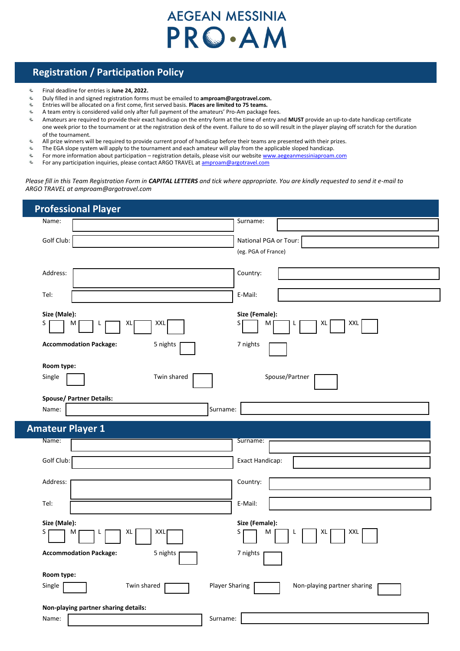### **Registration / Participation Policy**

- $\frac{\partial}{\partial x}$ Final deadline for entries is **June 24, 2022.**
- ą, Duly filled in and signed registration forms must be emailed to **amproam@argotravel.com.**
- ą, Entries will be allocated on a first come, first served basis. **Places are limited to 75 teams.**
- $Q_{\rm m}$ A team entry is considered valid only after full payment of the amateurs' Pro-Am package fees.
- $\Phi_{\rm m}$ Amateurs are required to provide their exact handicap on the entry form at the time of entry and **MUST** provide an up-to-date handicap certificate one week prior to the tournament or at the registration desk of the event. Failure to do so will result in the player playing off scratch for the duration of the tournament.
- All prize winners will be required to provide current proof of handicap before their teams are presented with their prizes.
- $\Phi_{\rm m}$ The EGA slope system will apply to the tournament and each amateur will play from the applicable sloped handicap.
- $\Phi_{\!a}$ For more information about participation – registration details, please visit our websit[e www.aegeanmessiniaproam.com](http://www.aegeanmessiniaproam.com/)
- $\Phi_{\!a}$ For any participation inquiries, please contact ARGO TRAVEL a[t amproam@argotravel.com](mailto:amproam@argotravel.com)

*Please fill in this Team Registration Form in CAPITAL LETTERS and tick where appropriate. You are kindly requested to send it e-mail to ARGO TRAVEL at amproam@argotravel.com*

| Surname:                                             |
|------------------------------------------------------|
| National PGA or Tour:<br>(eg. PGA of France)         |
| Country:                                             |
| E-Mail:                                              |
| Size (Female):<br>$S \vert$<br>XXL<br>M<br>XL<br>L.  |
| 7 nights                                             |
| Spouse/Partner                                       |
| Surname:                                             |
|                                                      |
| Surname:                                             |
|                                                      |
| Exact Handicap:                                      |
| Country:                                             |
| E-Mail:                                              |
| Size (Female):<br>XXL<br>M<br>XL                     |
| 7 nights                                             |
|                                                      |
| <b>Player Sharing</b><br>Non-playing partner sharing |
|                                                      |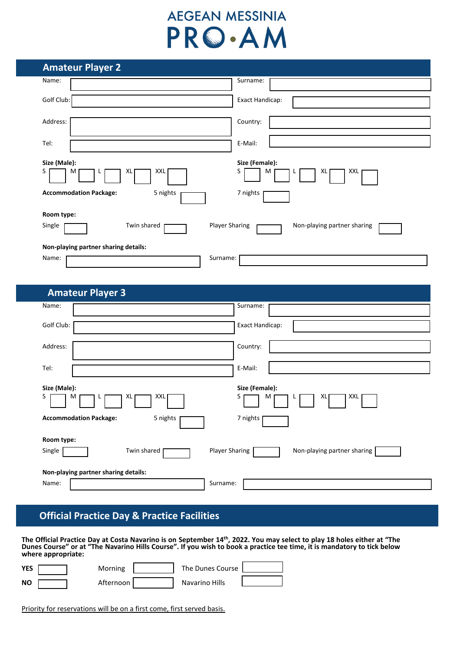| <b>Amateur Player 2</b>                   |                                                      |
|-------------------------------------------|------------------------------------------------------|
| Name:                                     | Surname:                                             |
| Golf Club:                                | Exact Handicap:                                      |
| Address:                                  | Country:                                             |
| Tel:                                      | E-Mail:                                              |
| Size (Male):<br>XXL<br>S<br>M<br>XL       | Size (Female):<br>S<br>XL<br>XXL<br>M                |
| <b>Accommodation Package:</b><br>5 nights | 7 nights                                             |
| Room type:                                |                                                      |
| Twin shared<br>Single                     | <b>Player Sharing</b><br>Non-playing partner sharing |
| Non-playing partner sharing details:      |                                                      |
| Name:                                     | Surname:                                             |

| <b>Amateur Player 3</b>                   |                                                      |
|-------------------------------------------|------------------------------------------------------|
| Name:                                     | Surname:                                             |
| Golf Club:                                | Exact Handicap:                                      |
| Address:                                  | Country:                                             |
| Tel:                                      | E-Mail:                                              |
| Size (Male):                              | Size (Female):                                       |
| XXL<br>S<br>XL<br>M                       | S<br>XXL<br>XL<br>M                                  |
| <b>Accommodation Package:</b><br>5 nights | 7 nights                                             |
| Room type:                                |                                                      |
| Single<br>Twin shared                     | <b>Player Sharing</b><br>Non-playing partner sharing |
| Non-playing partner sharing details:      |                                                      |
| Name:                                     | Surname:                                             |

## **Official Practice Day & Practice Facilities**

**The Official Practice Day at Costa Navarino is on September 14th , 2022. You may select to play 18 holes either at "The Dunes Course" or at "The Navarino Hills Course". If you wish to book a practice tee time, it is mandatory to tick below where appropriate:**

| YES | Morning     | The Dunes Course |  |
|-----|-------------|------------------|--|
| NΟ  | Afternoon I | Navarino Hills   |  |

Priority for reservations will be on a first come, first served basis.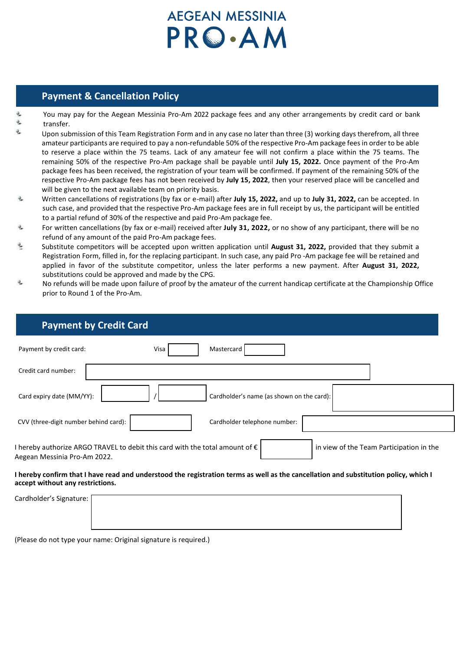### **Payment & Cancellation Policy**

- You may pay for the Aegean Messinia Pro-Am 2022 package fees and any other arrangements by credit card or bank transfer.
- Upon submission of this Team Registration Form and in any case no later than three (3) working days therefrom, all three amateur participants are required to pay a non-refundable 50% of the respective Pro-Am package fees in order to be able to reserve a place within the 75 teams. Lack of any amateur fee will not confirm a place within the 75 teams. The remaining 50% of the respective Pro-Am package shall be payable until **July 15, 2022.** Once payment of the Pro-Am package fees has been received, the registration of your team will be confirmed. If payment of the remaining 50% of the respective Pro-Am package fees has not been received by **July 15, 2022**, then your reserved place will be cancelled and will be given to the next available team on priority basis.
- $\partial_\omega$ Written cancellations of registrations (by fax or e-mail) after **July 15, 2022,** and up to **July 31, 2022,** can be accepted. In such case, and provided that the respective Pro-Am package fees are in full receipt by us, the participant will be entitled to a partial refund of 30% of the respective and paid Pro-Am package fee.
- ÷. For written cancellations (by fax or e-mail) received after **July 31, 2022,** or no show of any participant, there will be no refund of any amount of the paid Pro-Am package fees.
- ë, Substitute competitors will be accepted upon written application until **August 31, 2022,** provided that they submit a Registration Form, filled in, for the replacing participant. In such case, any paid Pro -Am package fee will be retained and applied in favor of the substitute competitor, unless the later performs a new payment. After **August 31, 2022,** substitutions could be approved and made by the CPG.
- $\vec{\eta}_\sigma$ No refunds will be made upon failure of proof by the amateur of the current handicap certificate at the Championship Office prior to Round 1 of the Pro-Am.

| <b>Payment by Credit Card</b>                                                                                         |                                                                                                                                      |
|-----------------------------------------------------------------------------------------------------------------------|--------------------------------------------------------------------------------------------------------------------------------------|
| Payment by credit card:                                                                                               | Mastercard<br>Visa                                                                                                                   |
| Credit card number:                                                                                                   |                                                                                                                                      |
| Card expiry date (MM/YY):                                                                                             | Cardholder's name (as shown on the card):                                                                                            |
| CVV (three-digit number behind card):                                                                                 | Cardholder telephone number:                                                                                                         |
| I hereby authorize ARGO TRAVEL to debit this card with the total amount of $\epsilon$<br>Aegean Messinia Pro-Am 2022. | in view of the Team Participation in the                                                                                             |
| accept without any restrictions.                                                                                      | I hereby confirm that I have read and understood the registration terms as well as the cancellation and substitution policy, which I |

| Cardholder's Signature: [ |  |
|---------------------------|--|
|                           |  |
|                           |  |

(Please do not type your name: Original signature is required.)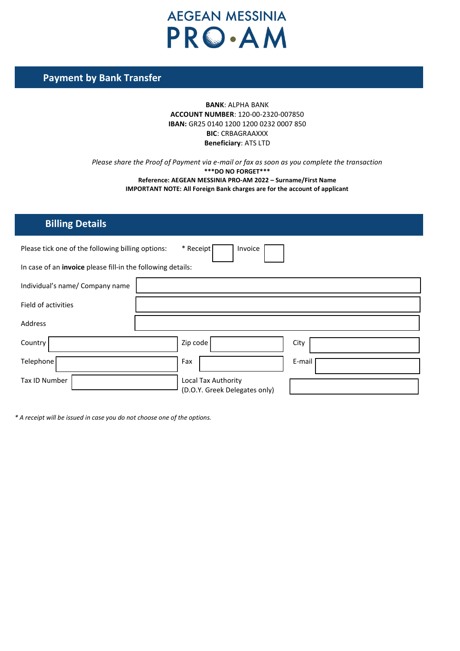## **Payment by Bank Transfer**

### **BANK**: ALPHA BANK **ACCOUNT NUMBER**: 120-00-2320-007850 **IBAN:** GR25 0140 1200 1200 0232 0007 850 **BIC**: CRBAGRAAXXX **Beneficiary**: ATS LTD

*Please share the Proof of Payment via e-mail or fax as soon as you complete the transaction* **\*\*\*DO NO FORGET\*\*\* Reference: AEGEAN MESSINIA PRO-AM 2022 – Surname/First Name IMPORTANT NOTE: All Foreign Bank charges are for the account of applicant**

### **Billing Details**

| Please tick one of the following billing options:           | * Receipt<br>Invoice                                 |        |
|-------------------------------------------------------------|------------------------------------------------------|--------|
| In case of an invoice please fill-in the following details: |                                                      |        |
| Individual's name/ Company name                             |                                                      |        |
| Field of activities                                         |                                                      |        |
| Address                                                     |                                                      |        |
| Country                                                     | Zip code                                             | City   |
| Telephone                                                   | Fax                                                  | E-mail |
| Tax ID Number                                               | Local Tax Authority<br>(D.O.Y. Greek Delegates only) |        |

*\* A receipt will be issued in case you do not choose one of the options.*